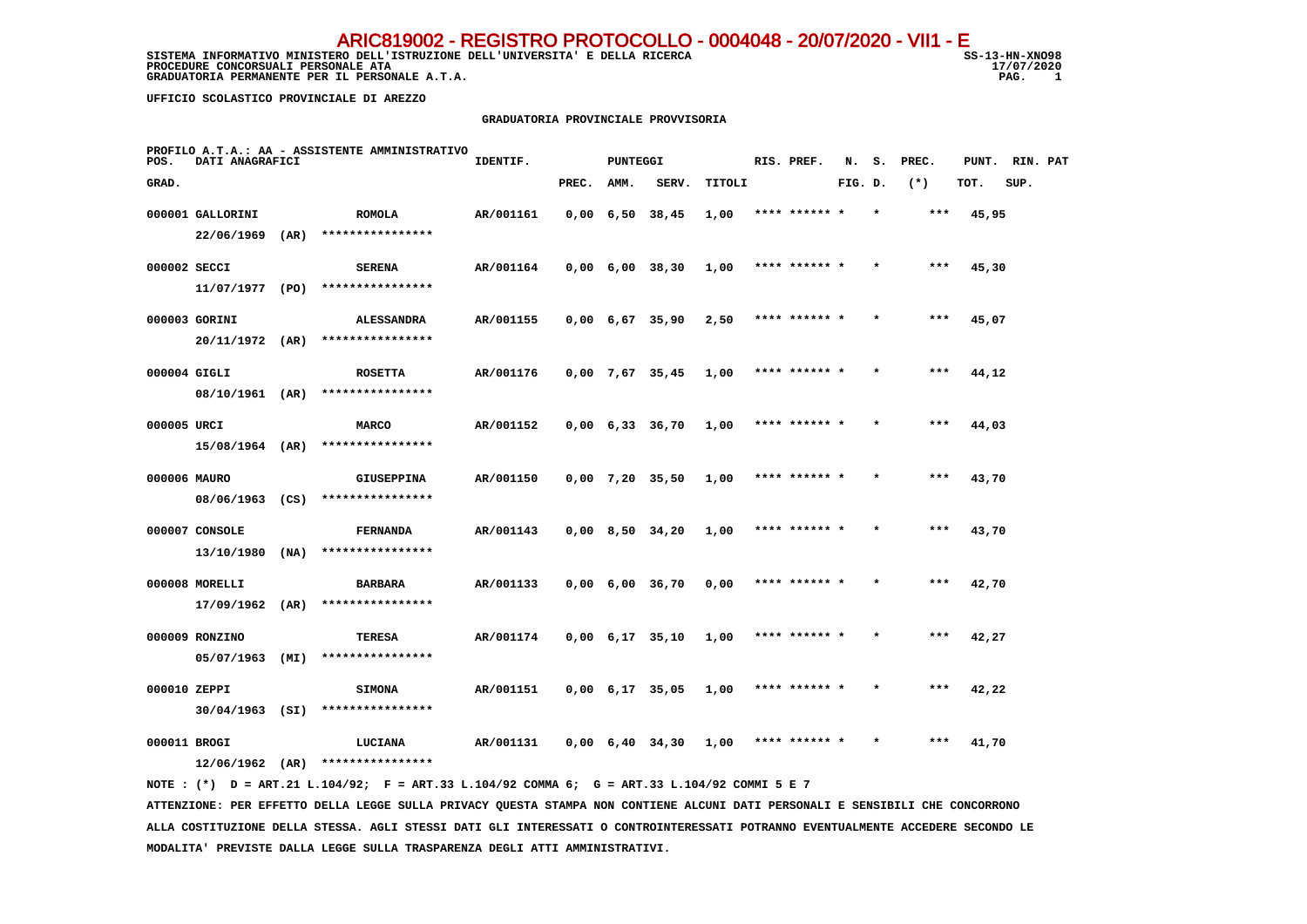SISTEMA INFORMATIVO MINISTERO DELL'ISTRUZIONE DELL'UNIVERSITA' E DELLA RICERCA STRUGIONE SS-13-HN-XNO98 **PROCEDURE CONCORSUALI PERSONALE ATA** 17/07, 17/07, 17/07, 17/07, 17/07, 17/07, 17/07, 17/07, 17/07, 17/07, 17/07, 17/07, 17/07, 17/07, 17/07, 17/07, 17/07, 17/07, 17/07, 17/07, 17/07, 17/07, 17/07, 17/07, 17/07, 17/07, 17  **GRADUATORIA PERMANENTE PER IL PERSONALE A.T.A.** 

17/07/2020  $\overline{1}$ 

 **UFFICIO SCOLASTICO PROVINCIALE DI AREZZO**

#### **GRADUATORIA PROVINCIALE PROVVISORIA**

| POS.         | DATI ANAGRAFICI   |      | PROFILO A.T.A.: AA - ASSISTENTE AMMINISTRATIVO                                              | IDENTIF.  |       | <b>PUNTEGGI</b> |                               |        | RIS. PREF.    | N.      | s.      | PREC. | PUNT. | RIN. PAT |  |
|--------------|-------------------|------|---------------------------------------------------------------------------------------------|-----------|-------|-----------------|-------------------------------|--------|---------------|---------|---------|-------|-------|----------|--|
| GRAD.        |                   |      |                                                                                             |           | PREC. | AMM.            | SERV.                         | TITOLI |               | FIG. D. |         | $(*)$ | TOT.  | SUP.     |  |
|              | 000001 GALLORINI  |      | <b>ROMOLA</b>                                                                               | AR/001161 |       |                 | $0,00 \quad 6,50 \quad 38,45$ | 1,00   | **** ****** * |         | $\star$ | ***   | 45,95 |          |  |
|              | 22/06/1969        | (AR) | ****************                                                                            |           |       |                 |                               |        |               |         |         |       |       |          |  |
| 000002 SECCI |                   |      | <b>SERENA</b>                                                                               | AR/001164 |       |                 | $0,00 \quad 6,00 \quad 38,30$ | 1,00   | **** ****** * |         |         | ***   | 45,30 |          |  |
|              | 11/07/1977 (PO)   |      | ****************                                                                            |           |       |                 |                               |        |               |         |         |       |       |          |  |
|              | 000003 GORINI     |      | <b>ALESSANDRA</b>                                                                           | AR/001155 |       |                 | $0,00 \quad 6,67 \quad 35,90$ | 2,50   | **** ****** * |         |         | ***   | 45,07 |          |  |
|              |                   |      | 20/11/1972 (AR) ****************                                                            |           |       |                 |                               |        |               |         |         |       |       |          |  |
| 000004 GIGLI |                   |      | <b>ROSETTA</b>                                                                              | AR/001176 |       |                 | 0,00 7,67 35,45               | 1,00   | **** ****** * |         |         | ***   | 44,12 |          |  |
|              |                   |      | 08/10/1961 (AR) ****************                                                            |           |       |                 |                               |        |               |         |         |       |       |          |  |
| 000005 URCI  |                   |      | <b>MARCO</b>                                                                                | AR/001152 |       |                 | $0,00 \quad 6,33 \quad 36,70$ | 1,00   | **** ****** * |         |         | ***   | 44,03 |          |  |
|              | 15/08/1964 (AR)   |      | ****************                                                                            |           |       |                 |                               |        |               |         |         |       |       |          |  |
| 000006 MAURO |                   |      | <b>GIUSEPPINA</b>                                                                           | AR/001150 |       |                 | $0,00$ 7,20 35,50             | 1,00   | **** ****** * |         |         | $***$ | 43,70 |          |  |
|              |                   |      | 08/06/1963 (CS) ****************                                                            |           |       |                 |                               |        |               |         |         |       |       |          |  |
|              | 000007 CONSOLE    |      | <b>FERNANDA</b>                                                                             | AR/001143 |       |                 | $0,00$ 8,50 34,20             | 1,00   | **** ****** * |         |         | ***   | 43,70 |          |  |
|              | $13/10/1980$ (NA) |      | ****************                                                                            |           |       |                 |                               |        |               |         |         |       |       |          |  |
|              | 000008 MORELLI    |      | <b>BARBARA</b>                                                                              | AR/001133 |       |                 | $0,00$ 6,00 36,70             | 0,00   | **** ****** * |         |         | ***   | 42,70 |          |  |
|              | $17/09/1962$ (AR) |      | ****************                                                                            |           |       |                 |                               |        |               |         |         |       |       |          |  |
|              | 000009 RONZINO    |      | <b>TERESA</b>                                                                               | AR/001174 |       |                 | $0,00 \quad 6,17 \quad 35,10$ | 1,00   | **** ****** * |         |         | ***   | 42,27 |          |  |
|              | 05/07/1963 (MI)   |      | ****************                                                                            |           |       |                 |                               |        |               |         |         |       |       |          |  |
| 000010 ZEPPI |                   |      | <b>SIMONA</b>                                                                               | AR/001151 |       |                 | 0,00 6,17 35,05               | 1,00   | **** ****** * |         |         | ***   | 42,22 |          |  |
|              | $30/04/1963$ (SI) |      | ****************                                                                            |           |       |                 |                               |        |               |         |         |       |       |          |  |
| 000011 BROGI |                   |      | LUCIANA                                                                                     | AR/001131 |       |                 | 0,00 6,40 34,30               | 1,00   | **** ****** * |         |         | ***   | 41,70 |          |  |
|              |                   |      | $12/06/1962$ (AR) ****************                                                          |           |       |                 |                               |        |               |         |         |       |       |          |  |
|              |                   |      | NOTE: (*) D = ART.21 L.104/92; F = ART.33 L.104/92 COMMA 6; G = ART.33 L.104/92 COMMI 5 E 7 |           |       |                 |                               |        |               |         |         |       |       |          |  |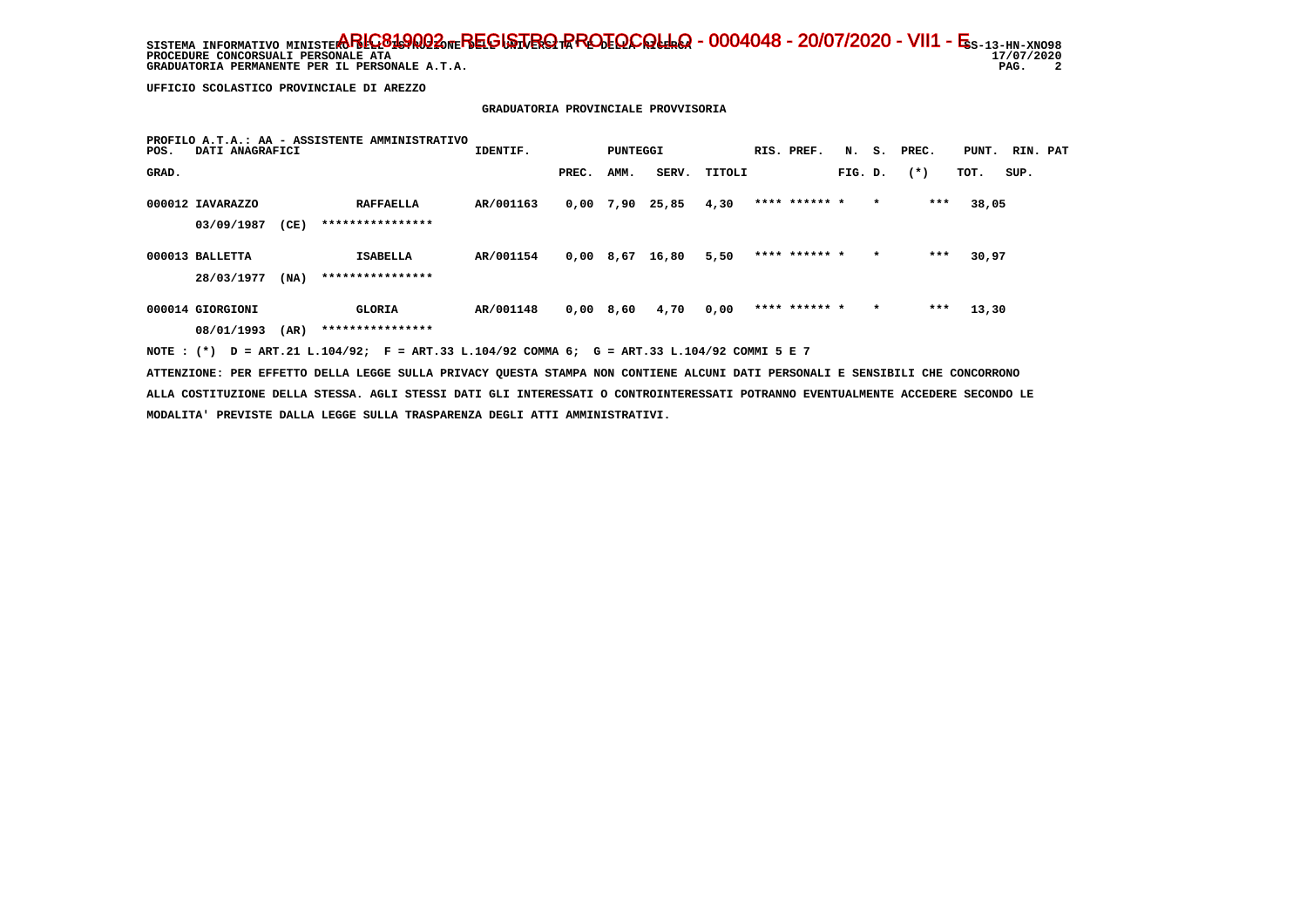SISTEMA INFORMATIVO MINISTERO BELGA **PROTOCOLLO - 0004048 - 20/07/2020 - VII1 - E**s-13-hn-xno98 17/07/2020 **PROCEDURE CONCORSUALI PERSONALE ATA**  $\overline{\phantom{a}}$  **GRADUATORIA PERMANENTE PER IL PERSONALE A.T.A. PAG. 2**

 **UFFICIO SCOLASTICO PROVINCIALE DI AREZZO**

### **GRADUATORIA PROVINCIALE PROVVISORIA**

| POS.  | DATI ANAGRAFICI                | PROFILO A.T.A.: AA - ASSISTENTE AMMINISTRATIVO | IDENTIF.                             |           | PUNTEGGI    |      |       | RIS. PREF. |               |         | N. S. PREC. | PUNT.  | RIN. PAT |      |  |
|-------|--------------------------------|------------------------------------------------|--------------------------------------|-----------|-------------|------|-------|------------|---------------|---------|-------------|--------|----------|------|--|
| GRAD. |                                |                                                |                                      |           | PREC.       | AMM. | SERV. | TITOLI     |               | FIG. D. |             | $(* )$ | TOT.     | SUP. |  |
|       | 000012 IAVARAZZO<br>03/09/1987 | (CE)                                           | <b>RAFFAELLA</b><br>**************** | AR/001163 | 0,00        | 7,90 | 25,85 | 4,30       | **** ****** * |         | $\star$     | $***$  | 38,05    |      |  |
|       | 000013 BALLETTA<br>28/03/1977  | (NA)                                           | <b>ISABELLA</b><br>****************  | AR/001154 | $0,00$ 8,67 |      | 16,80 | 5,50       | **** ****** * |         | $\star$     | $***$  | 30,97    |      |  |
|       | 000014 GIORGIONI<br>08/01/1993 | (AR)                                           | <b>GLORIA</b><br>****************    | AR/001148 | $0,00$ 8,60 |      | 4,70  | 0,00       | **** ****** * |         | $\star$     | ***    | 13,30    |      |  |

 **NOTE : (\*) D = ART.21 L.104/92; F = ART.33 L.104/92 COMMA 6; G = ART.33 L.104/92 COMMI 5 E 7**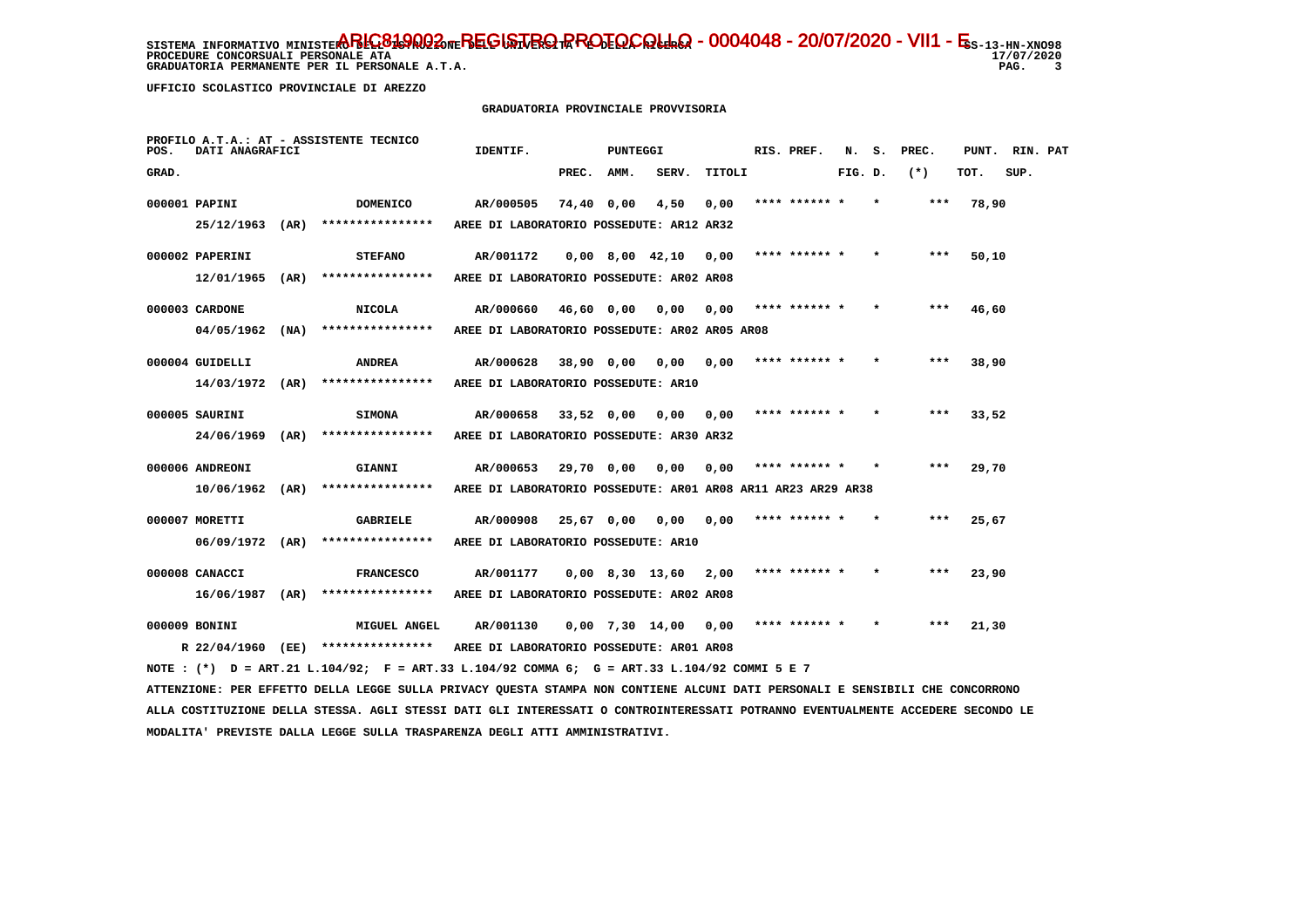**PROCEDURE CONCORSUALI PERSONALE ATA GRADUATORIA PERMANENTE PER IL PERSONALE A.T.A.** 

 **UFFICIO SCOLASTICO PROVINCIALE DI AREZZO**

# **GRADUATORIA PROVINCIALE PROVVISORIA**

| POS.  | DATI ANAGRAFICI   |      | PROFILO A.T.A.: AT - ASSISTENTE TECNICO                                                                                         | IDENTIF.                                                     |              | PUNTEGGI |                   |        | RIS. PREF.    | N.      | s. | PREC.  | PUNT. | RIN. PAT |  |
|-------|-------------------|------|---------------------------------------------------------------------------------------------------------------------------------|--------------------------------------------------------------|--------------|----------|-------------------|--------|---------------|---------|----|--------|-------|----------|--|
| GRAD. |                   |      |                                                                                                                                 |                                                              | PREC.        | AMM.     | SERV.             | TITOLI |               | FIG. D. |    | $(* )$ | TOT.  | SUP.     |  |
|       | 000001 PAPINI     |      | <b>DOMENICO</b>                                                                                                                 | AR/000505                                                    | 74,40 0,00   |          | 4,50              | 0,00   | **** ******   |         |    | ***    | 78,90 |          |  |
|       | 25/12/1963 (AR)   |      | ****************                                                                                                                | AREE DI LABORATORIO POSSEDUTE: AR12 AR32                     |              |          |                   |        |               |         |    |        |       |          |  |
|       | 000002 PAPERINI   |      | <b>STEFANO</b>                                                                                                                  | AR/001172                                                    |              |          | $0,00$ 8,00 42,10 | 0,00   | **** ****** * |         |    | $***$  | 50,10 |          |  |
|       | 12/01/1965        | (AR) | ****************                                                                                                                | AREE DI LABORATORIO POSSEDUTE: AR02 AR08                     |              |          |                   |        |               |         |    |        |       |          |  |
|       | 000003 CARDONE    |      | <b>NICOLA</b>                                                                                                                   | AR/000660                                                    | 46,60 0,00   |          | 0,00              | 0.00   | **** ****** * |         |    | ***    | 46,60 |          |  |
|       | 04/05/1962        | (NA) | ****************                                                                                                                | AREE DI LABORATORIO POSSEDUTE: AR02 AR05 AR08                |              |          |                   |        |               |         |    |        |       |          |  |
|       | 000004 GUIDELLI   |      | <b>ANDREA</b>                                                                                                                   | AR/000628                                                    | 38,90 0,00   |          | 0,00              | 0,00   | **** ****** * |         |    | ***    | 38,90 |          |  |
|       | $14/03/1972$ (AR) |      | ****************                                                                                                                | AREE DI LABORATORIO POSSEDUTE: AR10                          |              |          |                   |        |               |         |    |        |       |          |  |
|       | 000005 SAURINI    |      | <b>SIMONA</b>                                                                                                                   | AR/000658                                                    | $33,52$ 0,00 |          | 0.00              | 0.00   | **** ****** * |         |    | $***$  | 33,52 |          |  |
|       | 24/06/1969        | (AR) | ****************                                                                                                                | AREE DI LABORATORIO POSSEDUTE: AR30 AR32                     |              |          |                   |        |               |         |    |        |       |          |  |
|       | 000006 ANDREONI   |      | GIANNI                                                                                                                          | AR/000653                                                    | 29,70 0,00   |          | 0,00              | 0.00   | **** ****** * |         |    | ***    | 29,70 |          |  |
|       | $10/06/1962$ (AR) |      | ****************                                                                                                                | AREE DI LABORATORIO POSSEDUTE: AR01 AR08 AR11 AR23 AR29 AR38 |              |          |                   |        |               |         |    |        |       |          |  |
|       | 000007 MORETTI    |      | <b>GABRIELE</b>                                                                                                                 | AR/000908                                                    | 25,67 0,00   |          | 0.00              | 0.00   | **** ****** * |         |    | ***    | 25,67 |          |  |
|       | 06/09/1972 (AR)   |      | ****************                                                                                                                | AREE DI LABORATORIO POSSEDUTE: AR10                          |              |          |                   |        |               |         |    |        |       |          |  |
|       | 000008 CANACCI    |      | <b>FRANCESCO</b>                                                                                                                | AR/001177                                                    |              |          | $0,00$ 8,30 13,60 | 2,00   | **** ****** * |         |    | $***$  | 23,90 |          |  |
|       | 16/06/1987 (AR)   |      | ****************                                                                                                                | AREE DI LABORATORIO POSSEDUTE: AR02 AR08                     |              |          |                   |        |               |         |    |        |       |          |  |
|       | 000009 BONINI     |      | <b>MIGUEL ANGEL</b>                                                                                                             | AR/001130                                                    |              |          | $0,00$ 7,30 14,00 | 0,00   | **** ****** * |         |    | ***    | 21,30 |          |  |
|       |                   |      | R 22/04/1960 (EE) *****************                                                                                             | AREE DI LABORATORIO POSSEDUTE: AR01 AR08                     |              |          |                   |        |               |         |    |        |       |          |  |
|       |                   |      | NOTE : (*) D = ART.21 L.104/92; F = ART.33 L.104/92 COMMA 6; G = ART.33 L.104/92 COMMI 5 E 7                                    |                                                              |              |          |                   |        |               |         |    |        |       |          |  |
|       |                   |      | ATTENZIONE: PER EFFETTO DELLA LEGGE SULLA PRIVACY QUESTA STAMPA NON CONTIENE ALCUNI DATI PERSONALI E SENSIBILI CHE CONCORRONO   |                                                              |              |          |                   |        |               |         |    |        |       |          |  |
|       |                   |      | ALLA COSTITUZIONE DELLA STESSA. AGLI STESSI DATI GLI INTERESSATI O CONTROINTERESSATI POTRANNO EVENTUALMENTE ACCEDERE SECONDO LE |                                                              |              |          |                   |        |               |         |    |        |       |          |  |
|       |                   |      | MODALITA' PREVISTE DALLA LEGGE SULLA TRASPARENZA DEGLI ATTI AMMINISTRATIVI.                                                     |                                                              |              |          |                   |        |               |         |    |        |       |          |  |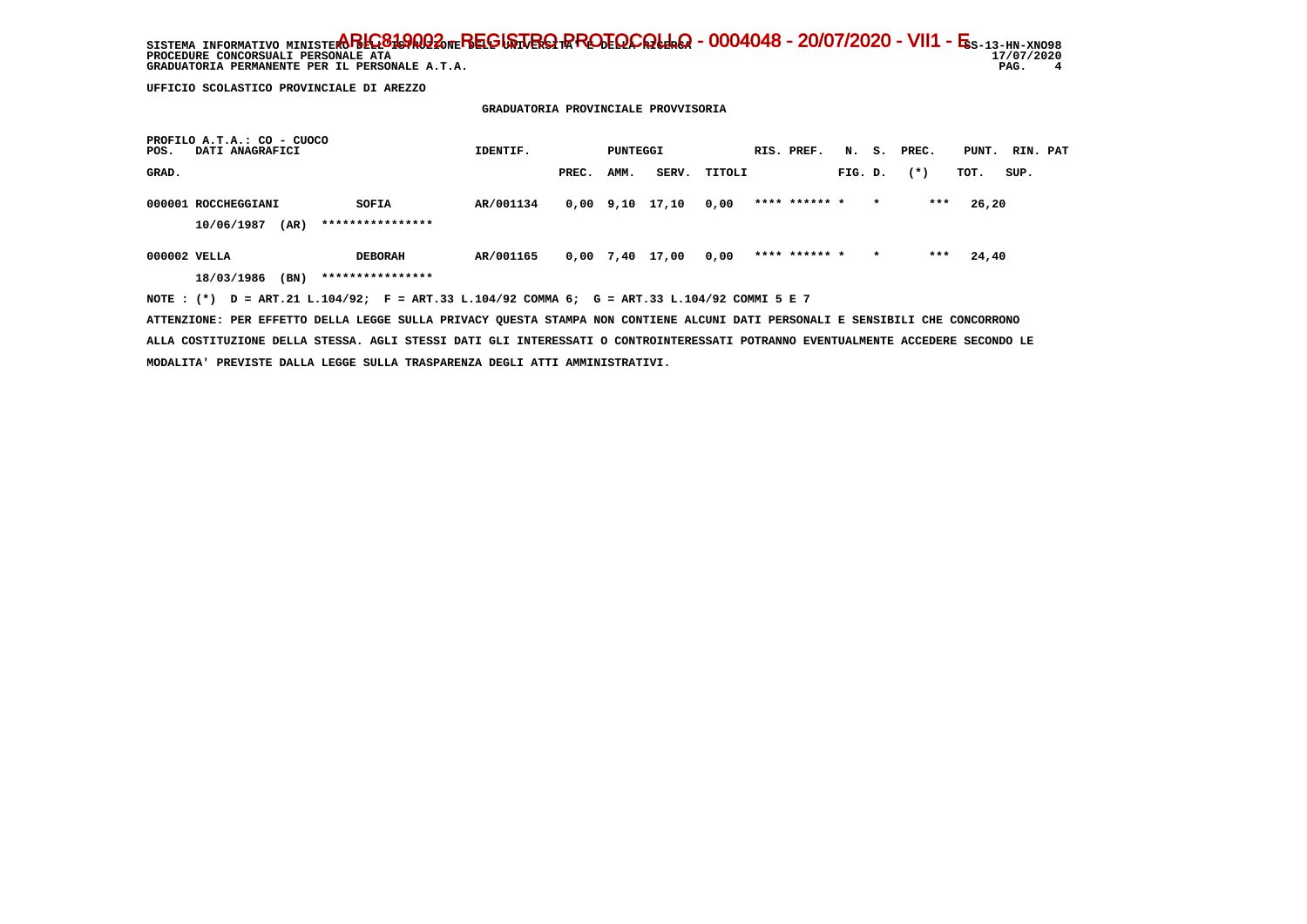SISTEMA INFORMATIVO MINISTERO BELGA **PROTOCOLLO - 0004048 - 20/07/2020 - VII1 - E**s-13-hn-xno98 17/07/2020 **PROCEDURE CONCORSUALI PERSONALE ATA**  $\overline{\mathbf{4}}$  **GRADUATORIA PERMANENTE PER IL PERSONALE A.T.A. PAG. 4**

 **UFFICIO SCOLASTICO PROVINCIALE DI AREZZO**

 **PROFILO A.T.A.: CO - CUOCO**

 **GRADUATORIA PROVINCIALE PROVVISORIA**

| PROFILO A.T.A.: CO - CUOCO<br>DATI ANAGRAFICI<br>POS.                                          | IDENTIF.  |       | PUNTEGGI |                       |        | RIS. PREF.    |         |         | N. S. PREC. | PUNT. RIN. PAT |      |  |
|------------------------------------------------------------------------------------------------|-----------|-------|----------|-----------------------|--------|---------------|---------|---------|-------------|----------------|------|--|
| GRAD.                                                                                          |           | PREC. | AMM.     | SERV.                 | TITOLI |               | FIG. D. |         | $(* )$      | TOT.           | SUP. |  |
| 000001 ROCCHEGGIANI<br>SOFIA                                                                   | AR/001134 |       |          | $0,00$ $9,10$ $17,10$ | 0,00   | **** ****** * |         | $\star$ | ***         | 26,20          |      |  |
| ****************<br>10/06/1987<br>(AR)                                                         |           |       |          |                       |        |               |         |         |             |                |      |  |
| 000002 VELLA<br><b>DEBORAH</b>                                                                 | AR/001165 |       |          | 0,00 7,40 17,00       | 0,00   | **** ****** * |         | $\star$ | ***         | 24,40          |      |  |
| ****************<br>(BN)<br>18/03/1986                                                         |           |       |          |                       |        |               |         |         |             |                |      |  |
| NOTE : $(*)$ D = ART.21 L.104/92; F = ART.33 L.104/92 COMMA 6; G = ART.33 L.104/92 COMMI 5 E 7 |           |       |          |                       |        |               |         |         |             |                |      |  |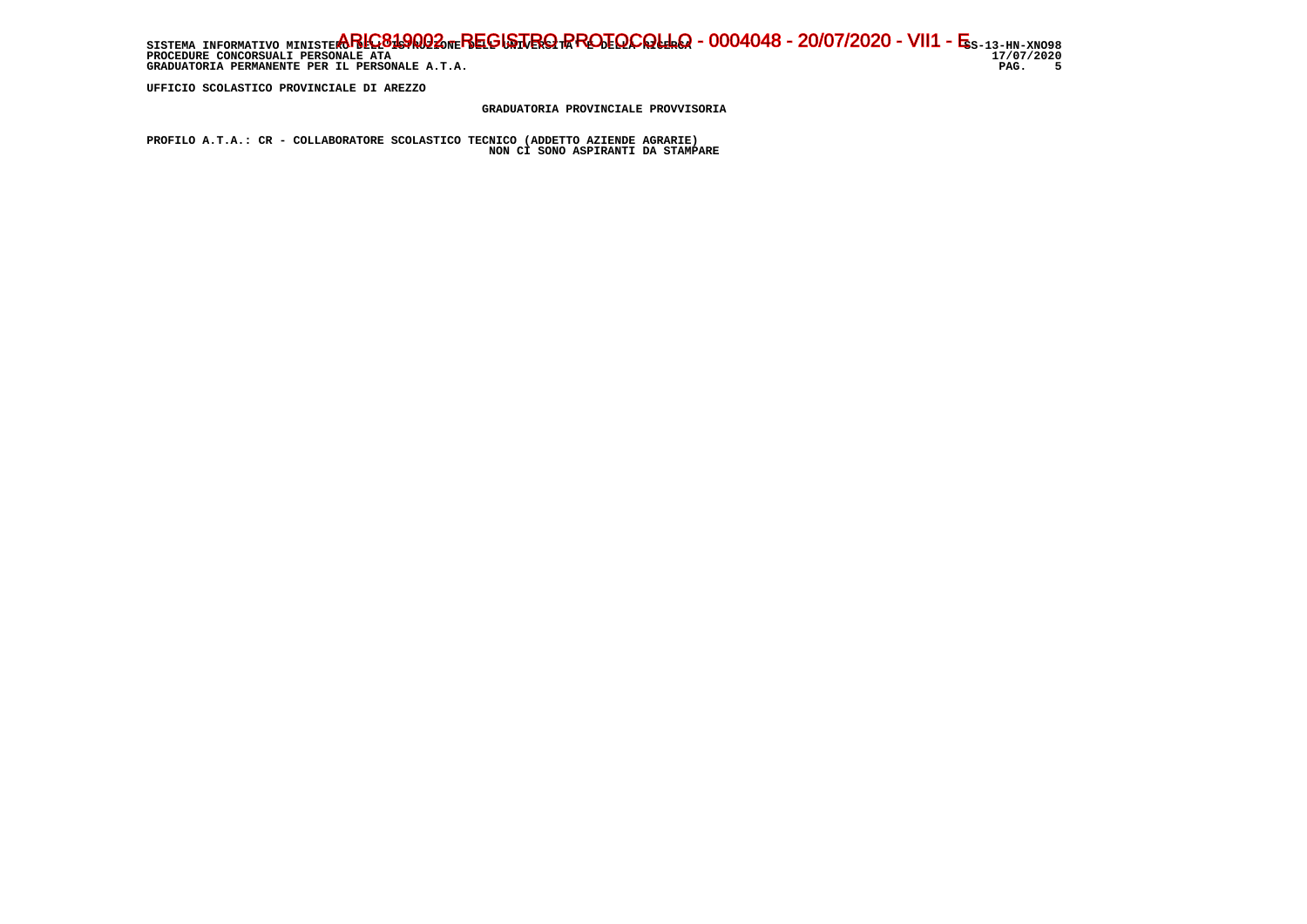SISTEMA INFORMATIVO MINISTERO BELGA **PROTOCOLLO - 0004048 - 20/07/2020 - VII1 - E**s-13-hn-xno98 17/07/2020 **PROCEDURE CONCORSUALI PERSONALE ATA** PAG. 5 GRADUATORIA PERMANENTE PER IL PERSONALE A.T.A.

 **UFFICIO SCOLASTICO PROVINCIALE DI AREZZO**

 **GRADUATORIA PROVINCIALE PROVVISORIA**

 **PROFILO A.T.A.: CR - COLLABORATORE SCOLASTICO TECNICO (ADDETTO AZIENDE AGRARIE) NON CI SONO ASPIRANTI DA STAMPARE**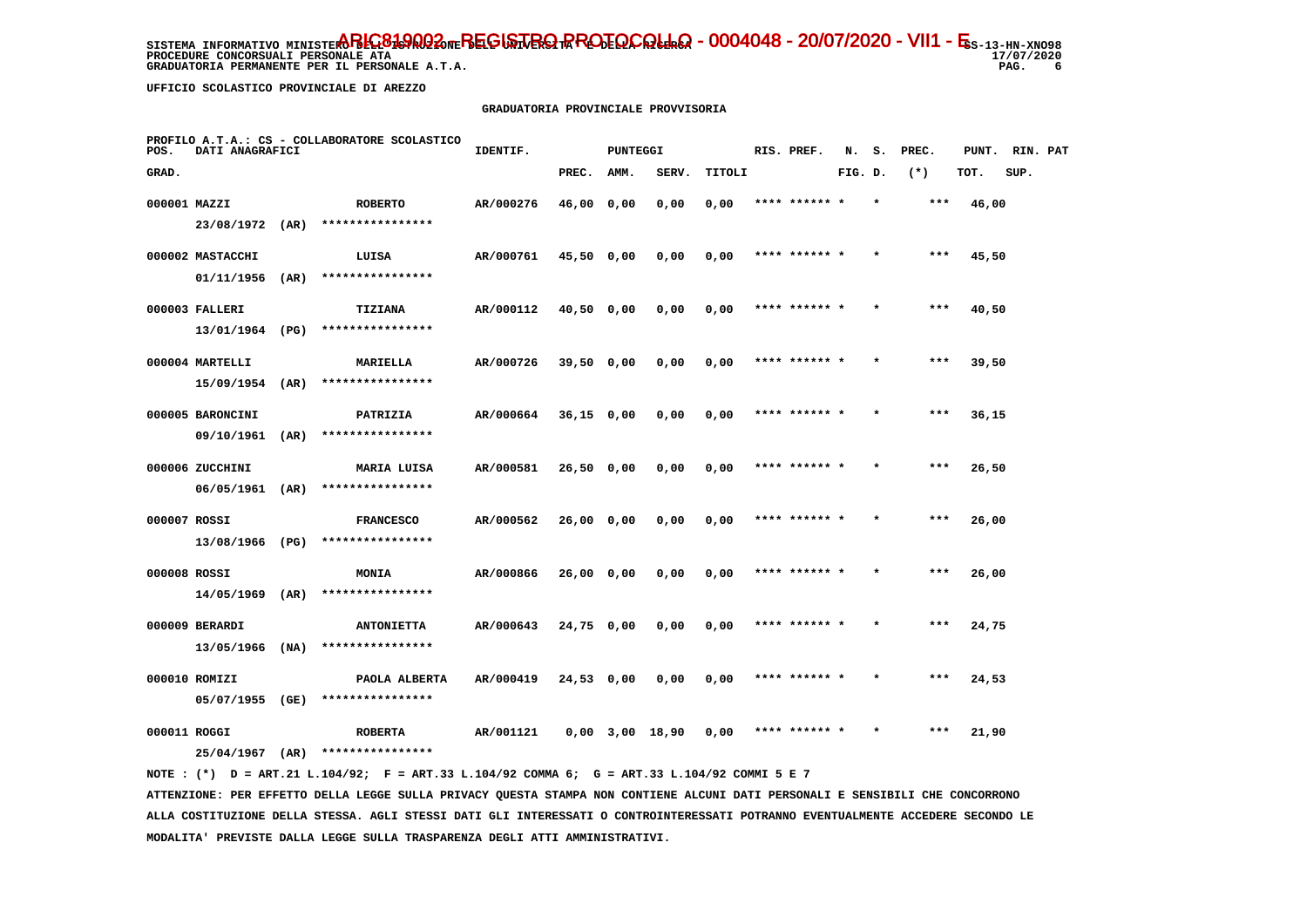**PROCEDURE CONCORSUALI PERSONALE ATA GRADUATORIA PERMANENTE PER IL PERSONALE A.T.A. PAG. 6**

 **UFFICIO SCOLASTICO PROVINCIALE DI AREZZO**

#### **GRADUATORIA PROVINCIALE PROVVISORIA**

| POS.         | DATI ANAGRAFICI                  |      | PROFILO A.T.A.: CS - COLLABORATORE SCOLASTICO | IDENTIF.  |              | <b>PUNTEGGI</b> |                   |        | RIS. PREF.    | N.      | s.      | PREC. | PUNT. | RIN. PAT |  |
|--------------|----------------------------------|------|-----------------------------------------------|-----------|--------------|-----------------|-------------------|--------|---------------|---------|---------|-------|-------|----------|--|
| GRAD.        |                                  |      |                                               |           | PREC.        | AMM.            | SERV.             | TITOLI |               | FIG. D. |         | $(*)$ | TOT.  | SUP.     |  |
| 000001 MAZZI |                                  |      | <b>ROBERTO</b>                                | AR/000276 | 46,00 0,00   |                 | 0,00              | 0,00   | **** ****** * |         | $\star$ | $***$ | 46,00 |          |  |
|              | 23/08/1972 (AR)                  |      | ****************                              |           |              |                 |                   |        |               |         |         |       |       |          |  |
|              | 000002 MASTACCHI                 |      | LUISA                                         | AR/000761 | 45,50 0,00   |                 | 0,00              | 0,00   | **** ****** * |         |         | ***   | 45,50 |          |  |
|              | 01/11/1956                       | (AR) | ****************                              |           |              |                 |                   |        |               |         |         |       |       |          |  |
|              | 000003 FALLERI                   |      | TIZIANA                                       | AR/000112 | $40,50$ 0,00 |                 | 0,00              | 0,00   | **** ****** * |         |         | $***$ | 40,50 |          |  |
|              | 13/01/1964 (PG)                  |      | ****************                              |           |              |                 |                   |        |               |         |         |       |       |          |  |
|              | 000004 MARTELLI                  |      | MARIELLA                                      | AR/000726 | $39,50$ 0,00 |                 | 0,00              | 0,00   | **** ****** * |         |         | $***$ | 39,50 |          |  |
|              | 15/09/1954                       | (AR) | ****************                              |           |              |                 |                   |        |               |         |         |       |       |          |  |
|              | 000005 BARONCINI                 |      | PATRIZIA                                      | AR/000664 | $36,15$ 0,00 |                 | 0,00              | 0,00   | **** ****** * |         |         | $***$ | 36,15 |          |  |
|              | 09/10/1961                       | (AR) | ****************                              |           |              |                 |                   |        |               |         |         |       |       |          |  |
|              | 000006 ZUCCHINI                  |      | MARIA LUISA                                   | AR/000581 | 26,50 0,00   |                 | 0,00              | 0,00   | **** ****** * |         |         | $***$ | 26,50 |          |  |
|              | 06/05/1961                       | (AR) | ****************                              |           |              |                 |                   |        |               |         |         |       |       |          |  |
| 000007 ROSSI |                                  |      | <b>FRANCESCO</b>                              | AR/000562 | 26,00 0,00   |                 | 0,00              | 0,00   | **** ******   |         |         | ***   | 26,00 |          |  |
|              | 13/08/1966 (PG)                  |      | ****************                              |           |              |                 |                   |        |               |         |         |       |       |          |  |
| 000008 ROSSI |                                  |      | MONIA<br>****************                     | AR/000866 | 26,00 0,00   |                 | 0,00              | 0,00   | **** ****** * |         |         | $***$ | 26,00 |          |  |
|              | 14/05/1969                       | (AR) |                                               |           |              |                 |                   |        |               |         |         |       |       |          |  |
|              | 000009 BERARDI                   | (MA) | <b>ANTONIETTA</b><br>****************         | AR/000643 | 24,75 0,00   |                 | 0,00              | 0,00   | **** ****** * |         | $\star$ | ***   | 24,75 |          |  |
|              | 13/05/1966                       |      |                                               |           |              |                 |                   |        |               |         |         |       |       |          |  |
|              | 000010 ROMIZI<br>05/07/1955 (GE) |      | PAOLA ALBERTA<br>****************             | AR/000419 | 24,53 0,00   |                 | 0,00              | 0,00   | **** ****** * |         |         | ***   | 24,53 |          |  |
|              |                                  |      |                                               |           |              |                 |                   |        |               |         |         |       |       |          |  |
| 000011 ROGGI | 25/04/1967                       | (AR) | <b>ROBERTA</b><br>****************            | AR/001121 |              |                 | $0,00$ 3,00 18,90 | 0.00   | **** ****** * |         |         | ***   | 21,90 |          |  |
|              |                                  |      |                                               |           |              |                 |                   |        |               |         |         |       |       |          |  |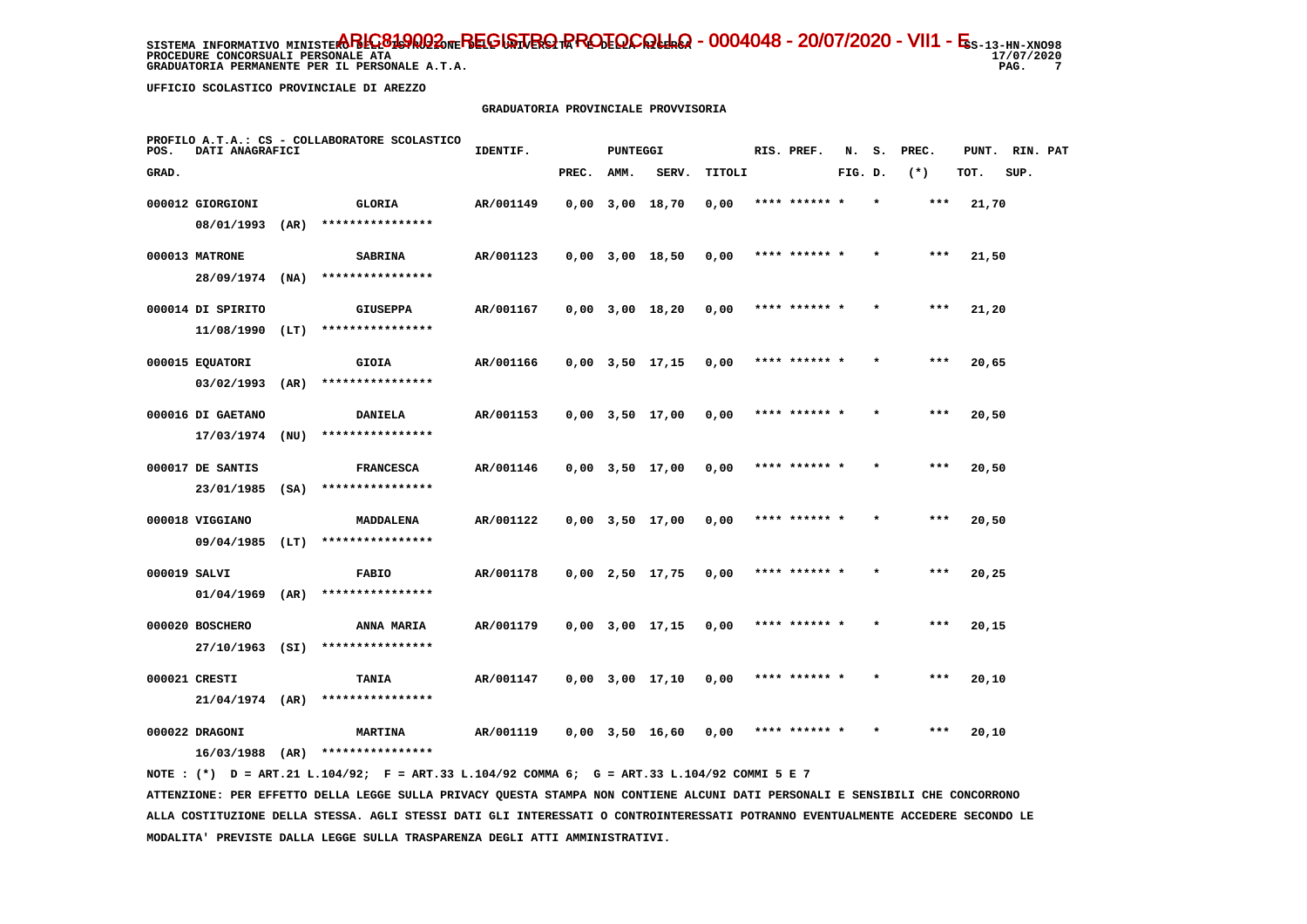**PROCEDURE CONCORSUALI PERSONALE ATA GRADUATORIA PERMANENTE PER IL PERSONALE A.T.A. PAG. 7**

17/07/2020  $\overline{7}$ 

 **UFFICIO SCOLASTICO PROVINCIALE DI AREZZO**

#### **GRADUATORIA PROVINCIALE PROVVISORIA**

| POS.         | DATI ANAGRAFICI   |      | PROFILO A.T.A.: CS - COLLABORATORE SCOLASTICO | IDENTIF.  |       | PUNTEGGI |                       |        | RIS. PREF.    | N.      | s.      | PREC. | PUNT. | RIN. PAT |  |
|--------------|-------------------|------|-----------------------------------------------|-----------|-------|----------|-----------------------|--------|---------------|---------|---------|-------|-------|----------|--|
| GRAD.        |                   |      |                                               |           | PREC. | AMM.     | SERV.                 | TITOLI |               | FIG. D. |         | $(*)$ | TOT.  | SUP.     |  |
|              | 000012 GIORGIONI  |      | GLORIA                                        | AR/001149 |       |          | $0,00$ $3,00$ $18,70$ | 0,00   | **** ****** * |         | $\star$ | $***$ | 21,70 |          |  |
|              | 08/01/1993        | (AR) | ****************                              |           |       |          |                       |        |               |         |         |       |       |          |  |
|              | 000013 MATRONE    |      | <b>SABRINA</b>                                | AR/001123 |       |          | $0,00$ $3,00$ $18,50$ | 0,00   | **** ****** * |         |         | ***   | 21,50 |          |  |
|              | 28/09/1974 (NA)   |      | ****************                              |           |       |          |                       |        |               |         |         |       |       |          |  |
|              | 000014 DI SPIRITO |      | GIUSEPPA                                      | AR/001167 |       |          | $0,00$ $3,00$ $18,20$ | 0,00   | **** ****** * |         |         | ***   | 21,20 |          |  |
|              | 11/08/1990        | (LT) | ****************                              |           |       |          |                       |        |               |         |         |       |       |          |  |
|              | 000015 EQUATORI   |      | GIOIA                                         | AR/001166 |       |          | $0,00$ $3,50$ $17,15$ | 0,00   | **** ****** * |         |         | $***$ | 20,65 |          |  |
|              | $03/02/1993$ (AR) |      | ****************                              |           |       |          |                       |        |               |         |         |       |       |          |  |
|              | 000016 DI GAETANO |      | <b>DANIELA</b>                                | AR/001153 |       |          | $0,00$ $3,50$ $17,00$ | 0,00   | **** ****** * |         |         | ***   | 20,50 |          |  |
|              | 17/03/1974        | (NU) | ****************                              |           |       |          |                       |        |               |         |         |       |       |          |  |
|              | 000017 DE SANTIS  |      | <b>FRANCESCA</b>                              | AR/001146 |       |          | $0,00$ $3,50$ $17,00$ | 0,00   | **** ****** * |         | $\star$ | ***   | 20,50 |          |  |
|              | 23/01/1985        | (SA) | ****************                              |           |       |          |                       |        |               |         |         |       |       |          |  |
|              | 000018 VIGGIANO   |      | MADDALENA                                     | AR/001122 |       |          | $0,00$ $3,50$ $17,00$ | 0,00   |               |         |         |       | 20,50 |          |  |
|              | $09/04/1985$ (LT) |      | ****************                              |           |       |          |                       |        |               |         |         |       |       |          |  |
| 000019 SALVI |                   |      | <b>FABIO</b>                                  | AR/001178 |       |          | $0,00$ 2,50 17,75     | 0,00   | **** ****** * |         |         | $***$ | 20,25 |          |  |
|              | $01/04/1969$ (AR) |      | ****************                              |           |       |          |                       |        |               |         |         |       |       |          |  |
|              | 000020 BOSCHERO   |      | ANNA MARIA                                    | AR/001179 |       |          | $0,00$ $3,00$ $17,15$ | 0,00   | **** ****** * |         |         | $***$ | 20,15 |          |  |
|              | 27/10/1963        | (SI) | ****************                              |           |       |          |                       |        |               |         |         |       |       |          |  |
|              | 000021 CRESTI     |      | TANIA                                         | AR/001147 |       |          | $0,00$ $3,00$ $17,10$ | 0,00   | **** ****** * |         |         | $***$ | 20,10 |          |  |
|              | $21/04/1974$ (AR) |      | ****************                              |           |       |          |                       |        |               |         |         |       |       |          |  |
|              | 000022 DRAGONI    |      | <b>MARTINA</b>                                | AR/001119 |       |          | $0,00$ 3,50 16,60     | 0,00   |               |         |         | ***   | 20,10 |          |  |
|              | 16/03/1988        | (AR) | ****************                              |           |       |          |                       |        |               |         |         |       |       |          |  |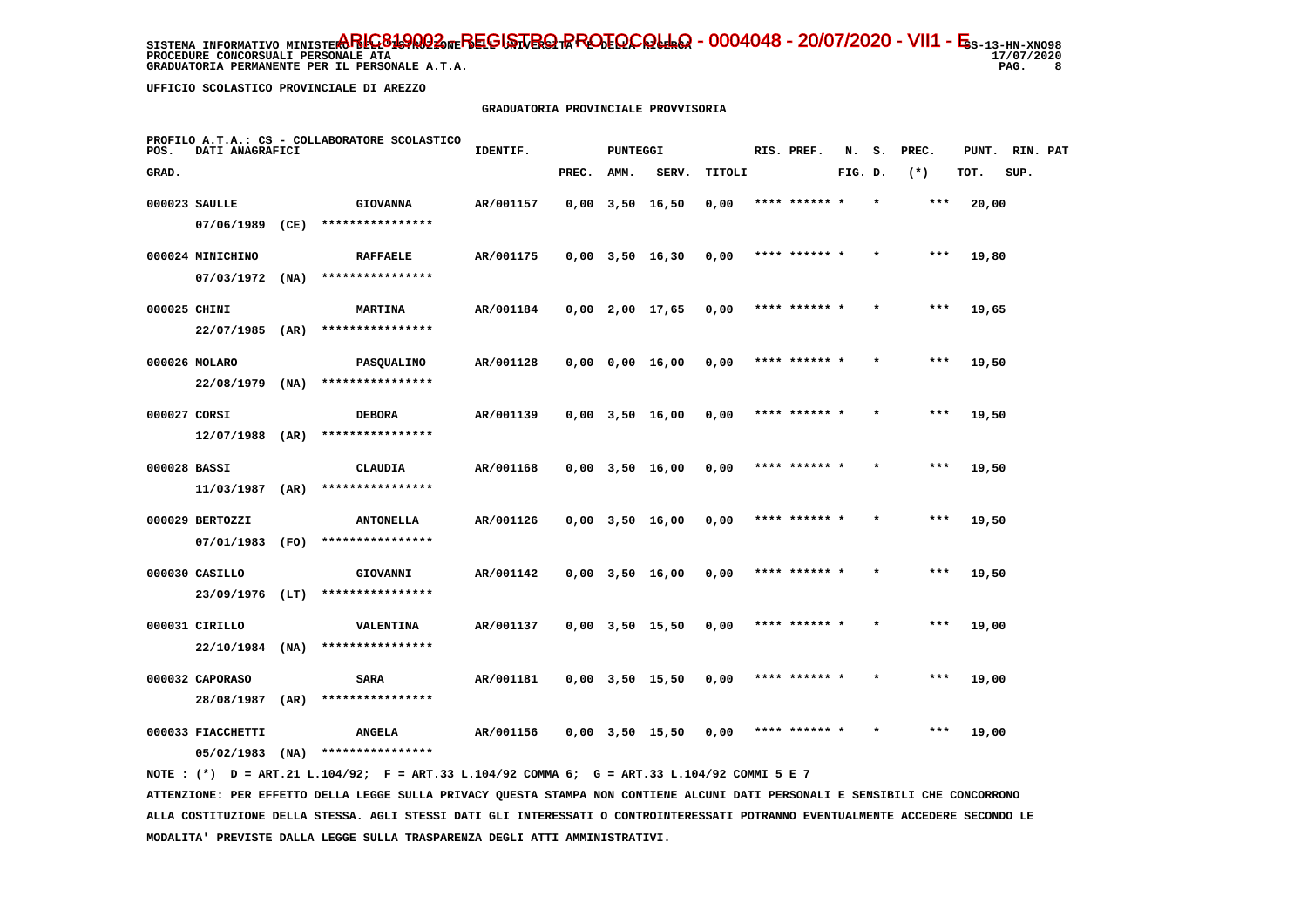**PROCEDURE CONCORSUALI PERSONALE ATA GRADUATORIA PERMANENTE PER IL PERSONALE A.T.A. PAG. 8**

17/07/2020  $_{\rm 8}$ 

 **UFFICIO SCOLASTICO PROVINCIALE DI AREZZO**

#### **GRADUATORIA PROVINCIALE PROVVISORIA**

| POS.         | DATI ANAGRAFICI   |      | PROFILO A.T.A.: CS - COLLABORATORE SCOLASTICO | IDENTIF.  |       | PUNTEGGI |                       |        | RIS. PREF.    | N.      | s. | PREC. | PUNT. | RIN. PAT |  |
|--------------|-------------------|------|-----------------------------------------------|-----------|-------|----------|-----------------------|--------|---------------|---------|----|-------|-------|----------|--|
| GRAD.        |                   |      |                                               |           | PREC. | AMM.     | SERV.                 | TITOLI |               | FIG. D. |    | $(*)$ | TOT.  | SUP.     |  |
|              | 000023 SAULLE     |      | <b>GIOVANNA</b>                               | AR/001157 |       |          | $0,00$ $3,50$ $16,50$ | 0,00   | **** ****** * |         |    | ***   | 20,00 |          |  |
|              | 07/06/1989        | (CE) | ****************                              |           |       |          |                       |        |               |         |    |       |       |          |  |
|              | 000024 MINICHINO  |      | <b>RAFFAELE</b>                               | AR/001175 |       |          | $0,00$ $3,50$ $16,30$ | 0,00   | **** ****** * |         |    | $***$ | 19,80 |          |  |
|              | 07/03/1972        | (NA) | ****************                              |           |       |          |                       |        |               |         |    |       |       |          |  |
| 000025 CHINI |                   |      | <b>MARTINA</b>                                | AR/001184 |       |          | $0,00$ 2,00 17,65     | 0,00   | **** ****** * |         |    | ***   | 19,65 |          |  |
|              | 22/07/1985        | (AR) | ****************                              |           |       |          |                       |        |               |         |    |       |       |          |  |
|              | 000026 MOLARO     |      | <b>PASQUALINO</b>                             | AR/001128 |       |          | $0,00$ $0,00$ $16,00$ | 0,00   | **** ****** * |         |    | $***$ | 19,50 |          |  |
|              | 22/08/1979        | (NA) | ****************                              |           |       |          |                       |        |               |         |    |       |       |          |  |
| 000027 CORSI |                   |      | <b>DEBORA</b>                                 | AR/001139 |       |          | $0,00$ $3,50$ $16,00$ | 0,00   | **** ****** * |         |    | $***$ | 19,50 |          |  |
|              | 12/07/1988        | (AR) | ****************                              |           |       |          |                       |        |               |         |    |       |       |          |  |
| 000028 BASSI |                   |      | CLAUDIA                                       | AR/001168 |       |          | $0,00$ $3,50$ $16,00$ | 0,00   | **** ****** * |         |    | ***   | 19,50 |          |  |
|              | 11/03/1987        | (AR) | ****************                              |           |       |          |                       |        |               |         |    |       |       |          |  |
|              | 000029 BERTOZZI   |      | <b>ANTONELLA</b>                              | AR/001126 |       |          | $0,00$ $3,50$ $16,00$ | 0,00   |               |         |    | ***   | 19,50 |          |  |
|              | 07/01/1983        | (FO) | ****************                              |           |       |          |                       |        |               |         |    |       |       |          |  |
|              | 000030 CASILLO    |      | GIOVANNI                                      | AR/001142 |       |          | $0,00$ $3,50$ $16,00$ | 0,00   | **** ****** * |         |    | $***$ | 19,50 |          |  |
|              | 23/09/1976        | (LT) | ****************                              |           |       |          |                       |        |               |         |    |       |       |          |  |
|              | 000031 CIRILLO    |      | <b>VALENTINA</b>                              | AR/001137 |       |          | $0,00$ $3,50$ $15,50$ | 0,00   | **** ****** * |         |    | ***   | 19,00 |          |  |
|              | 22/10/1984        | (NA) | ****************                              |           |       |          |                       |        |               |         |    |       |       |          |  |
|              | 000032 CAPORASO   |      | SARA                                          | AR/001181 |       |          | $0,00$ $3,50$ $15,50$ | 0,00   | **** ****** * |         |    | ***   | 19,00 |          |  |
|              | 28/08/1987        | (AR) | ****************                              |           |       |          |                       |        |               |         |    |       |       |          |  |
|              | 000033 FIACCHETTI |      | <b>ANGELA</b>                                 | AR/001156 |       |          | $0.00$ $3.50$ 15.50   | 0,00   | **** ******   |         |    | ***   | 19,00 |          |  |
|              | 05/02/1983        | (MA) | ****************                              |           |       |          |                       |        |               |         |    |       |       |          |  |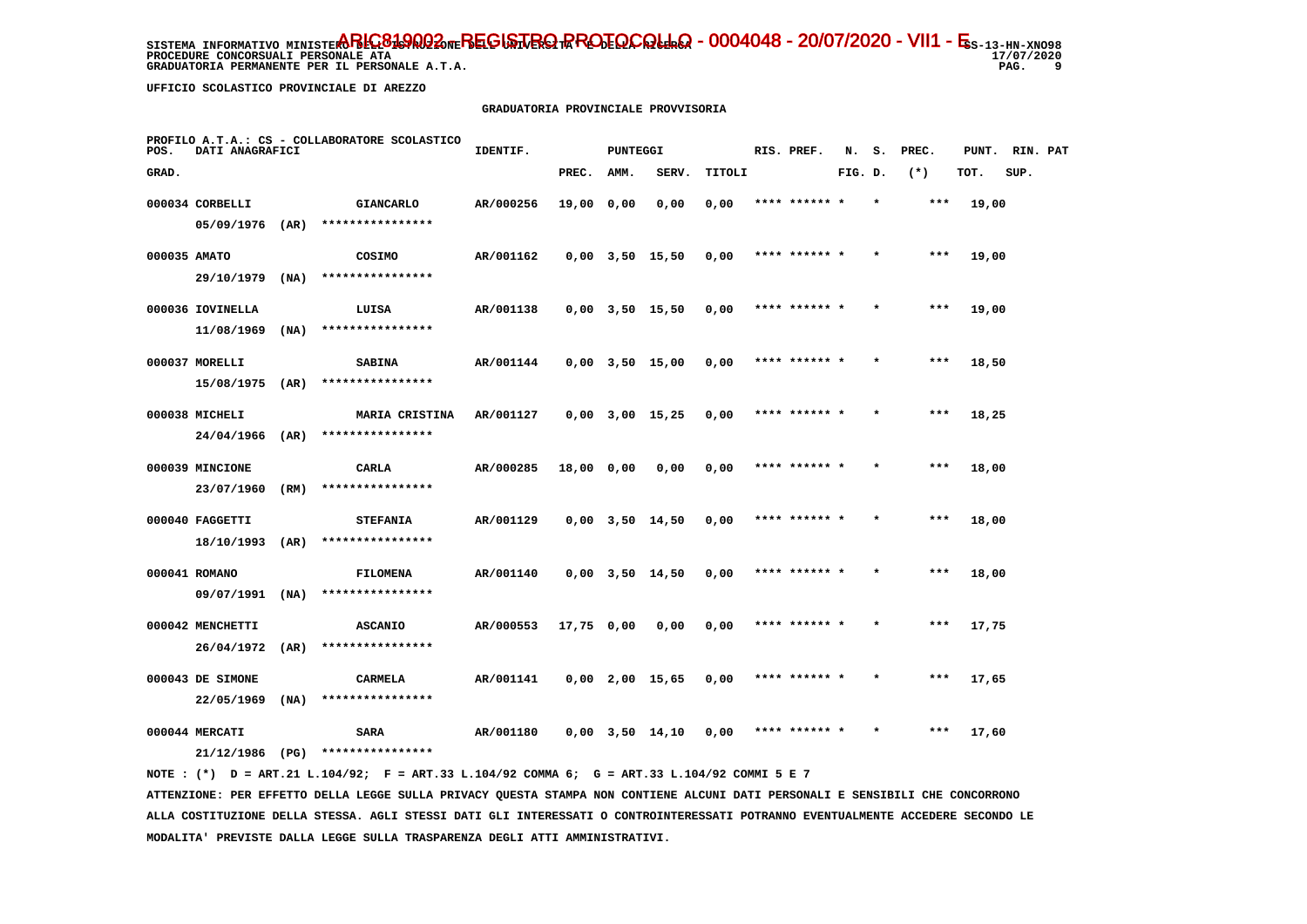**PROCEDURE CONCORSUALI PERSONALE ATA GRADUATORIA PERMANENTE PER IL PERSONALE A.T.A. PAG. 9**

17/07/2020 و ۔

 **UFFICIO SCOLASTICO PROVINCIALE DI AREZZO**

#### **GRADUATORIA PROVINCIALE PROVVISORIA**

| POS.  | DATI ANAGRAFICI   |      | PROFILO A.T.A.: CS - COLLABORATORE SCOLASTICO | IDENTIF.  |            | PUNTEGGI |                       |        | RIS. PREF.    | N.      | s.      | PREC. | PUNT. | RIN. PAT |  |
|-------|-------------------|------|-----------------------------------------------|-----------|------------|----------|-----------------------|--------|---------------|---------|---------|-------|-------|----------|--|
| GRAD. |                   |      |                                               |           | PREC.      | AMM.     | SERV.                 | TITOLI |               | FIG. D. |         | $(*)$ | TOT.  | SUP.     |  |
|       | 000034 CORBELLI   |      | <b>GIANCARLO</b>                              | AR/000256 | 19,00 0,00 |          | 0,00                  | 0,00   | **** ******   |         |         | $***$ | 19,00 |          |  |
|       | $05/09/1976$ (AR) |      | ****************                              |           |            |          |                       |        |               |         |         |       |       |          |  |
|       | 000035 AMATO      |      | COSIMO                                        | AR/001162 |            |          | $0,00$ $3,50$ $15,50$ | 0,00   | **** ****** * |         |         | $***$ | 19,00 |          |  |
|       | 29/10/1979        | (NA) | ****************                              |           |            |          |                       |        |               |         |         |       |       |          |  |
|       | 000036 IOVINELLA  |      | LUISA                                         | AR/001138 |            |          | $0,00$ $3,50$ $15,50$ | 0,00   | **** ****** * |         | $\star$ | $***$ | 19,00 |          |  |
|       | 11/08/1969        | (MA) | ****************                              |           |            |          |                       |        |               |         |         |       |       |          |  |
|       | 000037 MORELLI    |      | <b>SABINA</b>                                 | AR/001144 |            |          | $0,00$ $3,50$ $15,00$ | 0,00   | **** ****** * |         |         | $***$ | 18,50 |          |  |
|       | 15/08/1975        | (AR) | ****************                              |           |            |          |                       |        |               |         |         |       |       |          |  |
|       | 000038 MICHELI    |      | MARIA CRISTINA                                | AR/001127 |            |          | $0,00$ $3,00$ $15,25$ | 0,00   | **** ****** * |         |         | $***$ | 18,25 |          |  |
|       | 24/04/1966        | (AR) | ****************                              |           |            |          |                       |        |               |         |         |       |       |          |  |
|       | 000039 MINCIONE   |      | CARLA                                         | AR/000285 | 18,00 0,00 |          | 0,00                  | 0,00   | **** ****** * |         | $\star$ | ***   | 18,00 |          |  |
|       | 23/07/1960        | (RM) | ****************                              |           |            |          |                       |        |               |         |         |       |       |          |  |
|       | 000040 FAGGETTI   |      | <b>STEFANIA</b>                               | AR/001129 |            |          | $0,00$ $3,50$ $14,50$ | 0,00   |               |         |         | ***   | 18,00 |          |  |
|       | 18/10/1993        | (AR) | ****************                              |           |            |          |                       |        |               |         |         |       |       |          |  |
|       | 000041 ROMANO     |      | <b>FILOMENA</b>                               | AR/001140 |            |          | $0,00$ $3,50$ $14,50$ | 0,00   | **** ****** * |         |         | $***$ | 18,00 |          |  |
|       | 09/07/1991        | (NA) | ****************                              |           |            |          |                       |        |               |         |         |       |       |          |  |
|       | 000042 MENCHETTI  |      | <b>ASCANIO</b>                                | AR/000553 | 17,75 0,00 |          | 0,00                  | 0,00   | **** ****** * |         | $\star$ | ***   | 17,75 |          |  |
|       | 26/04/1972        | (AR) | ****************                              |           |            |          |                       |        |               |         |         |       |       |          |  |
|       | 000043 DE SIMONE  |      | <b>CARMELA</b>                                | AR/001141 |            |          | $0,00$ 2,00 15,65     | 0,00   | **** ****** * |         |         | $***$ | 17,65 |          |  |
|       | 22/05/1969        | (NA) | ****************                              |           |            |          |                       |        |               |         |         |       |       |          |  |
|       | 000044 MERCATI    | (PG) | SARA<br>****************                      | AR/001180 |            |          | $0,00$ $3,50$ $14,10$ | 0,00   |               |         |         | $***$ | 17,60 |          |  |
|       | 21/12/1986        |      |                                               |           |            |          |                       |        |               |         |         |       |       |          |  |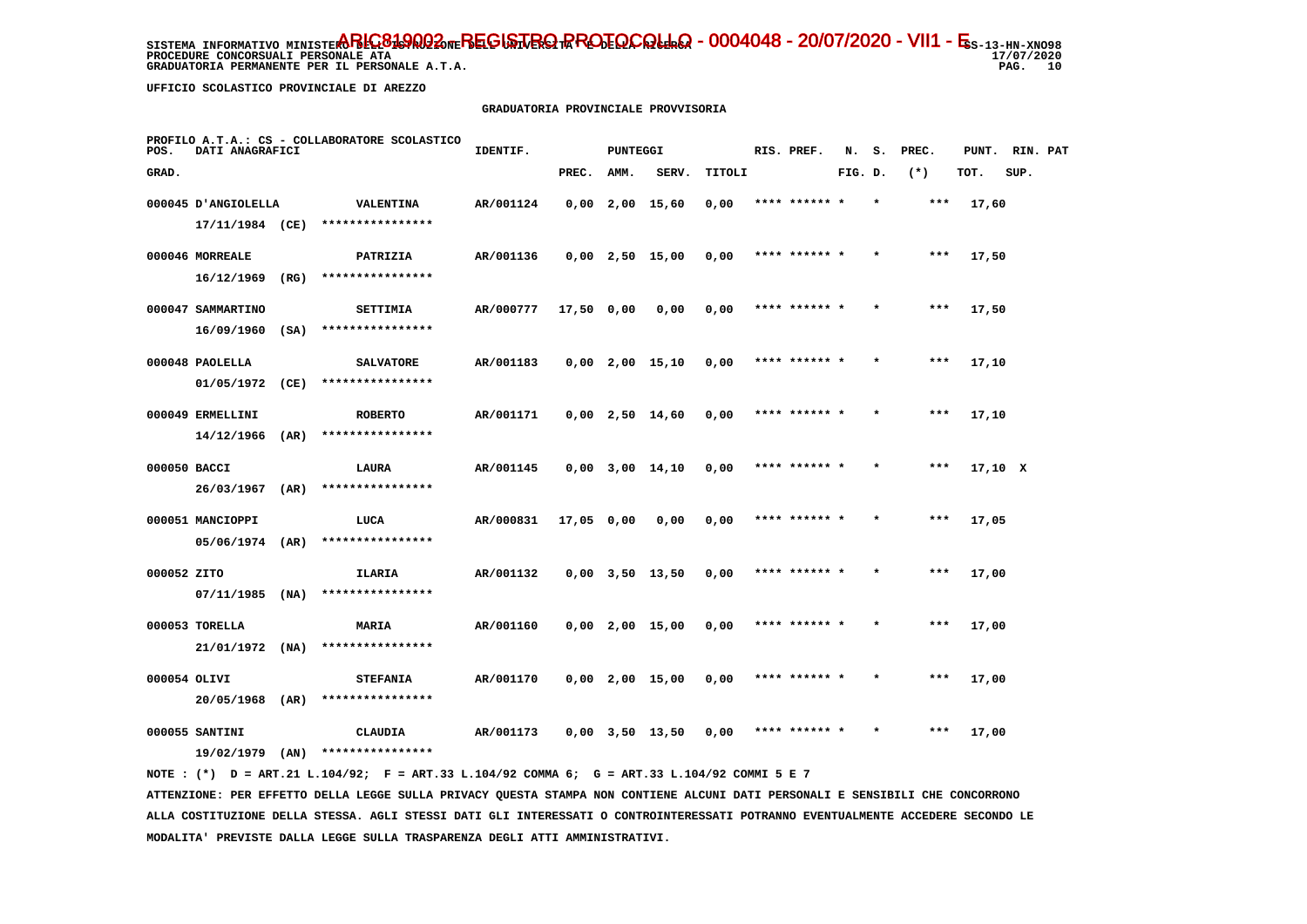**PROCEDURE CONCORSUALI PERSONALE ATA GRADUATORIA PERMANENTE PER IL PERSONALE A.T.A.** 

 **UFFICIO SCOLASTICO PROVINCIALE DI AREZZO**

#### **GRADUATORIA PROVINCIALE PROVVISORIA**

| POS.         | DATI ANAGRAFICI              |      | PROFILO A.T.A.: CS - COLLABORATORE SCOLASTICO | IDENTIF.  |              | <b>PUNTEGGI</b> |                       |        | RIS. PREF.    | N.      | s.      | PREC. | PUNT.   | RIN. PAT |  |
|--------------|------------------------------|------|-----------------------------------------------|-----------|--------------|-----------------|-----------------------|--------|---------------|---------|---------|-------|---------|----------|--|
| GRAD.        |                              |      |                                               |           | PREC.        | AMM.            | SERV.                 | TITOLI |               | FIG. D. |         | $(*)$ | TOT.    | SUP.     |  |
|              | 000045 D'ANGIOLELLA          |      | VALENTINA                                     | AR/001124 |              |                 | $0,00$ 2,00 15,60     | 0,00   | **** ****** * |         | $\star$ | ***   | 17,60   |          |  |
|              | 17/11/1984 (CE)              |      | ****************                              |           |              |                 |                       |        |               |         |         |       |         |          |  |
|              | 000046 MORREALE              |      | PATRIZIA                                      | AR/001136 |              |                 | $0,00$ 2,50 15,00     | 0,00   | **** ****** * |         |         | $***$ | 17,50   |          |  |
|              | 16/12/1969                   | (RG) | ****************                              |           |              |                 |                       |        |               |         |         |       |         |          |  |
|              | 000047 SAMMARTINO            |      | <b>SETTIMIA</b>                               | AR/000777 | $17,50$ 0,00 |                 | 0,00                  | 0,00   | **** ****** * |         |         | $***$ | 17,50   |          |  |
|              | 16/09/1960                   | (SA) | ****************                              |           |              |                 |                       |        |               |         |         |       |         |          |  |
|              | 000048 PAOLELLA              |      | <b>SALVATORE</b>                              | AR/001183 |              |                 | $0,00$ 2,00 15,10     | 0,00   | **** ****** * |         |         | $***$ | 17,10   |          |  |
|              | 01/05/1972                   | (CE) | ****************                              |           |              |                 |                       |        |               |         |         |       |         |          |  |
|              | 000049 ERMELLINI             |      | <b>ROBERTO</b>                                | AR/001171 |              |                 | $0,00$ 2,50 14,60     | 0,00   | **** ****** * |         |         | $***$ | 17,10   |          |  |
|              | 14/12/1966                   | (AR) | ****************                              |           |              |                 |                       |        |               |         |         |       |         |          |  |
| 000050 BACCI |                              |      | LAURA                                         | AR/001145 |              |                 | $0,00$ $3,00$ $14,10$ | 0,00   | **** ****** * |         |         | $***$ | 17,10 X |          |  |
|              | 26/03/1967                   | (AR) | ****************                              |           |              |                 |                       |        |               |         |         |       |         |          |  |
|              | 000051 MANCIOPPI             |      | LUCA<br>****************                      | AR/000831 | 17,05 0,00   |                 | 0,00                  | 0,00   | **** ****** * |         |         | $***$ | 17,05   |          |  |
|              | 05/06/1974                   | (AR) |                                               |           |              |                 |                       |        |               |         |         |       |         |          |  |
| 000052 ZITO  | $07/11/1985$ (NA)            |      | ILARIA<br>****************                    | AR/001132 |              |                 | $0,00$ $3,50$ $13,50$ | 0,00   | **** ****** * |         |         | ***   | 17,00   |          |  |
|              |                              |      |                                               |           |              |                 |                       |        |               |         |         |       |         |          |  |
|              | 000053 TORELLA<br>21/01/1972 | (NA) | <b>MARIA</b><br>****************              | AR/001160 |              |                 | $0,00$ 2,00 15,00     | 0,00   | **** ****** * |         |         | $***$ | 17,00   |          |  |
|              |                              |      |                                               |           |              |                 |                       |        |               |         |         |       |         |          |  |
| 000054 OLIVI | 20/05/1968                   | (AR) | <b>STEFANIA</b><br>****************           | AR/001170 |              |                 | $0,00$ 2,00 15,00     | 0,00   | **** ****** * |         |         | ***   | 17,00   |          |  |
|              |                              |      |                                               |           |              |                 |                       |        |               |         |         |       |         |          |  |
|              | 000055 SANTINI<br>19/02/1979 | (AN) | CLAUDIA<br>****************                   | AR/001173 |              |                 | $0,00$ $3,50$ $13,50$ | 0,00   | **** ****** * |         |         | ***   | 17,00   |          |  |
|              |                              |      |                                               |           |              |                 |                       |        |               |         |         |       |         |          |  |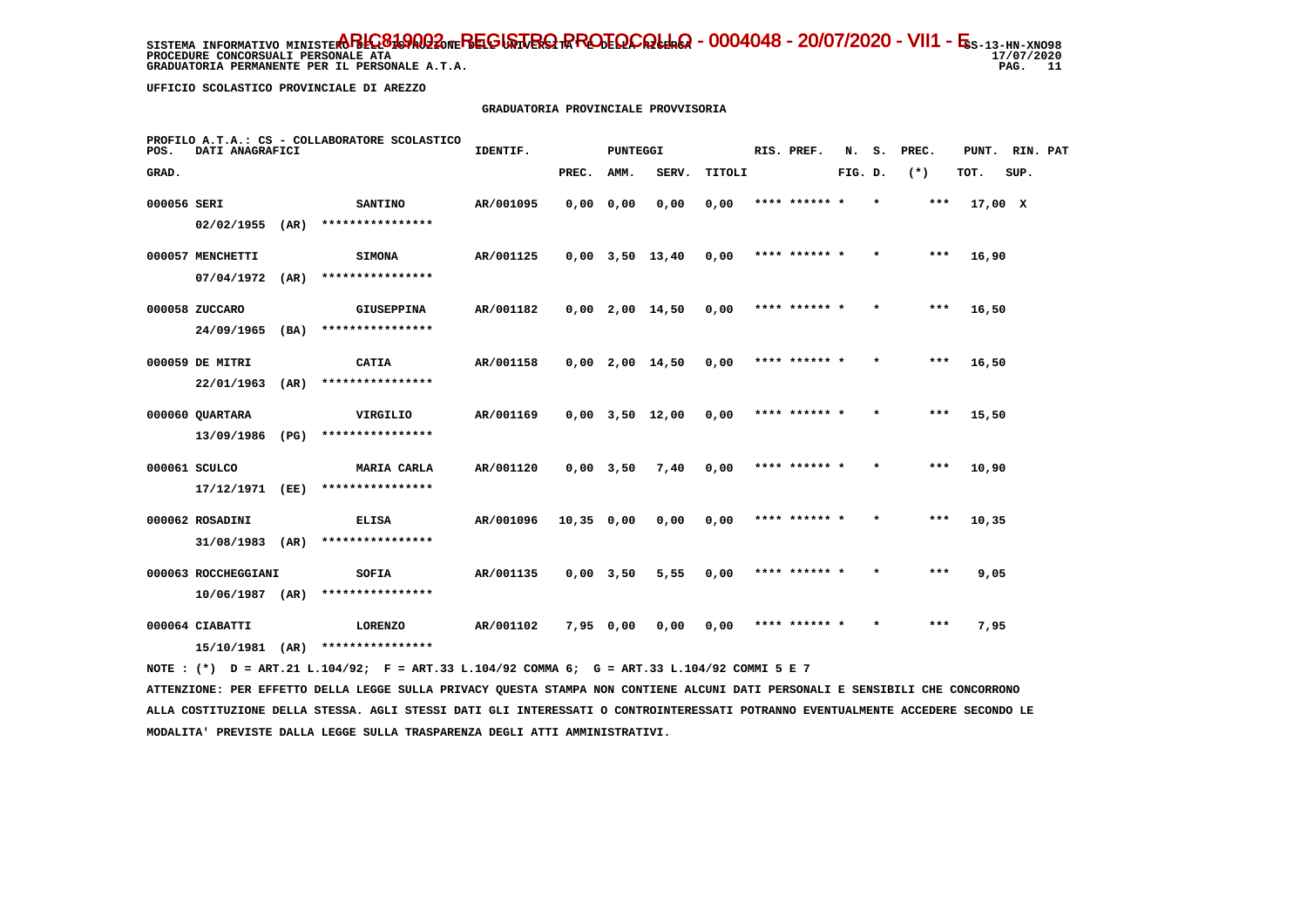**PROCEDURE CONCORSUALI PERSONALE ATA GRADUATORIA PERMANENTE PER IL PERSONALE A.T.A.**  17/07/2020 PAG. 11

 **UFFICIO SCOLASTICO PROVINCIALE DI AREZZO**

## **GRADUATORIA PROVINCIALE PROVVISORIA**

| POS.        | DATI ANAGRAFICI                      |      | PROFILO A.T.A.: CS - COLLABORATORE SCOLASTICO | IDENTIF.  |            | <b>PUNTEGGI</b> |                   |        | RIS. PREF.    | N.      | s.      | PREC. | PUNT. RIN. PAT |      |  |
|-------------|--------------------------------------|------|-----------------------------------------------|-----------|------------|-----------------|-------------------|--------|---------------|---------|---------|-------|----------------|------|--|
| GRAD.       |                                      |      |                                               |           | PREC.      | AMM.            | SERV.             | TITOLI |               | FIG. D. |         | $(*)$ | TOT.           | SUP. |  |
| 000056 SERI | 02/02/1955                           | (AR) | <b>SANTINO</b><br>****************            | AR/001095 | 0,0000,000 |                 | 0,00              | 0,00   | **** ****** * |         | $\star$ | $***$ | 17,00 X        |      |  |
|             | 000057 MENCHETTI<br>07/04/1972       | (AR) | <b>SIMONA</b><br>****************             | AR/001125 |            |                 | $0,00$ 3,50 13,40 | 0,00   | **** ****** * |         | $\star$ | ***   | 16,90          |      |  |
|             | 000058 ZUCCARO<br>$24/09/1965$ (BA)  |      | <b>GIUSEPPINA</b><br>****************         | AR/001182 |            |                 | 0,00 2,00 14,50   | 0,00   | **** ****** * |         | $\star$ | ***   | 16,50          |      |  |
|             | 000059 DE MITRI<br>22/01/1963        | (AR) | CATIA<br>****************                     | AR/001158 |            |                 | 0,00 2,00 14,50   | 0,00   | **** ****** * |         | $\star$ | ***   | 16,50          |      |  |
|             | 000060 QUARTARA                      |      | VIRGILIO<br>****************                  | AR/001169 |            |                 | 0,00 3,50 12,00   | 0,00   | **** ****** * |         | $\star$ | ***   | 15,50          |      |  |
|             | 13/09/1986<br>000061 SCULCO          | (PG) | MARIA CARLA                                   | AR/001120 |            | $0,00$ 3,50     | 7,40              | 0,00   | **** ****** * |         |         | ***   | 10,90          |      |  |
|             | 17/12/1971 (EE)<br>000062 ROSADINI   |      | ****************<br><b>ELISA</b>              | AR/001096 | 10,35 0,00 |                 | 0,00              | 0,00   | **** ****** * |         | $\star$ | ***   | 10,35          |      |  |
|             | 31/08/1983<br>000063 ROCCHEGGIANI    | (AR) | ****************<br>SOFIA                     | AR/001135 |            | $0,00$ 3,50     | 5,55              | 0,00   | **** ****** * |         | $\star$ | ***   | 9,05           |      |  |
|             | $10/06/1987$ (AR)<br>000064 CIABATTI |      | ****************<br><b>LORENZO</b>            | AR/001102 | 7,95 0,00  |                 | 0,00              | 0,00   | **** ****** * |         |         | $***$ | 7,95           |      |  |
|             | 15/10/1981                           | (AR) | ****************                              |           |            |                 |                   |        |               |         |         |       |                |      |  |

 **NOTE : (\*) D = ART.21 L.104/92; F = ART.33 L.104/92 COMMA 6; G = ART.33 L.104/92 COMMI 5 E 7**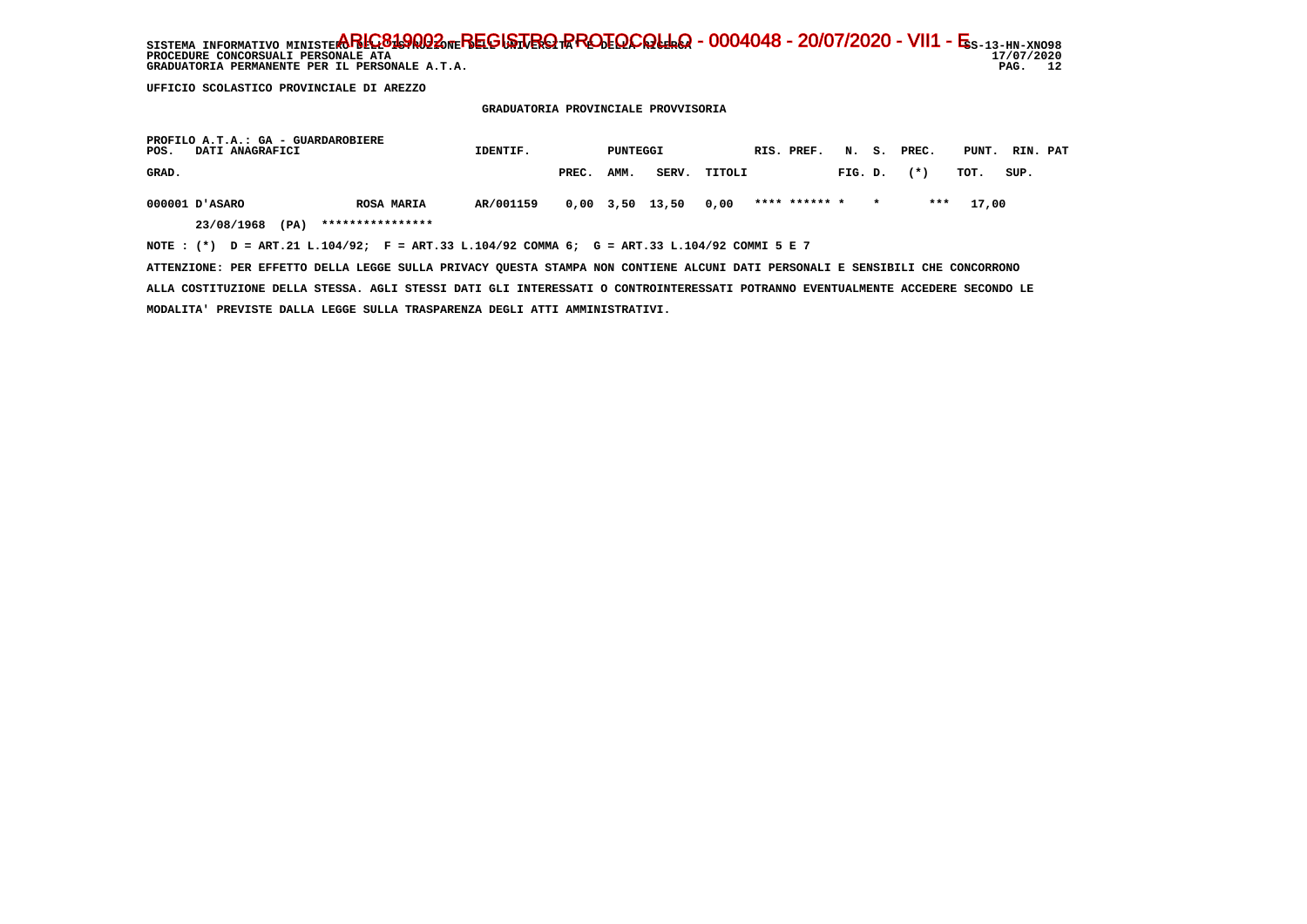SISTEMA INFORMATIVO MINISTERO BELGA **PROTOCOLLO - 0004048 - 20/07/2020 - VII1 - E**s-13-hn-xno98 **PROCEDURE CONCORSUALI PERSONALE ATA** GRADUATORIA PERMANENTE PER IL PERSONALE A.T.A.

 $17/07/2020$ PAG. 12

 **UFFICIO SCOLASTICO PROVINCIALE DI AREZZO**

 **GRADUATORIA PROVINCIALE PROVVISORIA**

| PROFILO A.T.A.: GA - GUARDAROBIERE<br>DATI ANAGRAFICI<br>POS.                               | IDENTIF.  |       | PUNTEGGI |                 |              | RIS. PREF.    |         |         | N. S. PREC. | PUNT. RIN. PAT |      |  |
|---------------------------------------------------------------------------------------------|-----------|-------|----------|-----------------|--------------|---------------|---------|---------|-------------|----------------|------|--|
| GRAD.                                                                                       |           | PREC. | AMM.     |                 | SERV. TITOLI |               | FIG. D. |         | $(* )$      | тот.           | SUP. |  |
| 000001 D'ASARO<br><b>ROSA MARIA</b>                                                         | AR/001159 |       |          | 0,00 3,50 13,50 | 0,00         | **** ****** * |         | $\star$ | ***         | 17,00          |      |  |
| ****************<br>23/08/1968<br>(PA)                                                      |           |       |          |                 |              |               |         |         |             |                |      |  |
| NOTE: (*) D = ART.21 L.104/92; F = ART.33 L.104/92 COMMA 6; G = ART.33 L.104/92 COMMI 5 E 7 |           |       |          |                 |              |               |         |         |             |                |      |  |